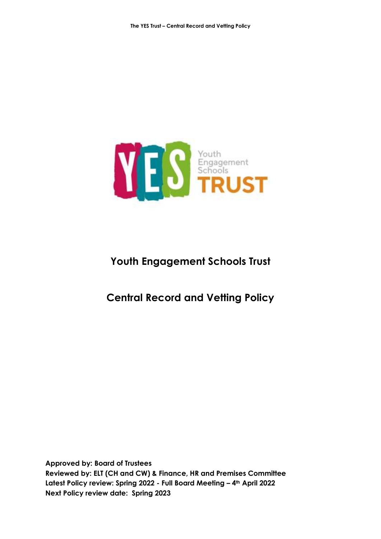

# **Youth Engagement Schools Trust**

# **Central Record and Vetting Policy**

**Approved by: Board of Trustees Reviewed by: ELT (CH and CW) & Finance, HR and Premises Committee Latest Policy review: Spring 2022 - Full Board Meeting – 4th April 2022 Next Policy review date: Spring 2023**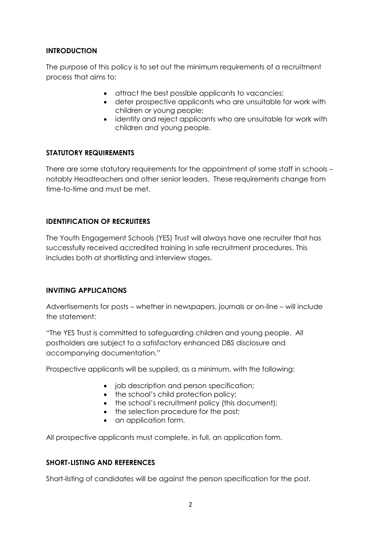### **INTRODUCTION**

The purpose of this policy is to set out the minimum requirements of a recruitment process that aims to:

- attract the best possible applicants to vacancies;
- deter prospective applicants who are unsuitable for work with children or young people;
- identify and reject applicants who are unsuitable for work with children and young people.

### **STATUTORY REQUIREMENTS**

There are some statutory requirements for the appointment of some staff in schools – notably Headteachers and other senior leaders. These requirements change from time-to-time and must be met.

### **IDENTIFICATION OF RECRUITERS**

The Youth Engagement Schools (YES) Trust will always have one recruiter that has successfully received accredited training in safe recruitment procedures. This includes both at shortlisting and interview stages.

#### **INVITING APPLICATIONS**

Advertisements for posts – whether in newspapers, journals or on-line – will include the statement:

"The YES Trust is committed to safeguarding children and young people. All postholders are subject to a satisfactory enhanced DBS disclosure and accompanying documentation."

Prospective applicants will be supplied, as a minimum, with the following:

- job description and person specification;
- the school's child protection policy;
- the school's recruitment policy (this document);
- the selection procedure for the post;
- an application form.

All prospective applicants must complete, in full, an application form.

# **SHORT-LISTING AND REFERENCES**

Short-listing of candidates will be against the person specification for the post.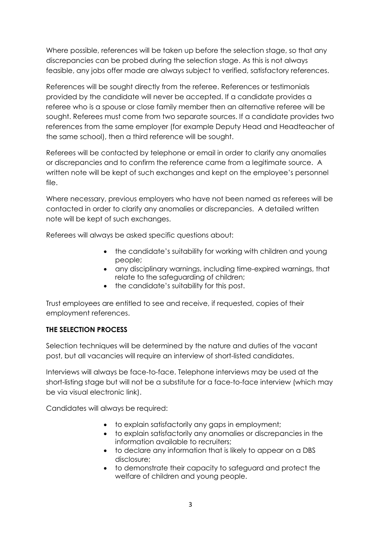Where possible, references will be taken up before the selection stage, so that any discrepancies can be probed during the selection stage. As this is not always feasible, any jobs offer made are always subject to verified, satisfactory references.

References will be sought directly from the referee. References or testimonials provided by the candidate will never be accepted. If a candidate provides a referee who is a spouse or close family member then an alternative referee will be sought. Referees must come from two separate sources. If a candidate provides two references from the same employer (for example Deputy Head and Headteacher of the same school), then a third reference will be sought.

Referees will be contacted by telephone or email in order to clarify any anomalies or discrepancies and to confirm the reference came from a legitimate source. A written note will be kept of such exchanges and kept on the employee's personnel file.

Where necessary, previous employers who have not been named as referees will be contacted in order to clarify any anomalies or discrepancies. A detailed written note will be kept of such exchanges.

Referees will always be asked specific questions about:

- the candidate's suitability for working with children and young people;
- any disciplinary warnings, including time-expired warnings, that relate to the safeguarding of children;
- the candidate's suitability for this post.

Trust employees are entitled to see and receive, if requested, copies of their employment references.

# **THE SELECTION PROCESS**

Selection techniques will be determined by the nature and duties of the vacant post, but all vacancies will require an interview of short-listed candidates.

Interviews will always be face-to-face. Telephone interviews may be used at the short-listing stage but will not be a substitute for a face-to-face interview (which may be via visual electronic link).

Candidates will always be required:

- to explain satisfactorily any gaps in employment;
- to explain satisfactorily any anomalies or discrepancies in the information available to recruiters;
- to declare any information that is likely to appear on a DBS disclosure;
- to demonstrate their capacity to safeguard and protect the welfare of children and young people.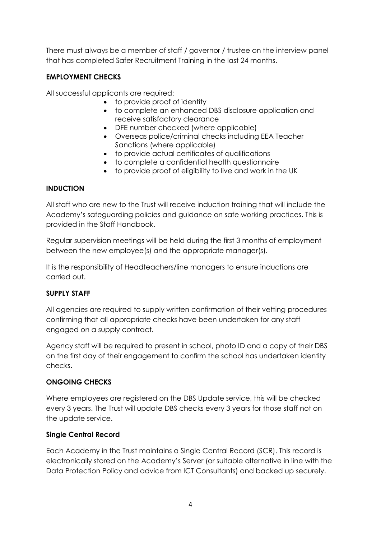There must always be a member of staff / governor / trustee on the interview panel that has completed Safer Recruitment Training in the last 24 months.

# **EMPLOYMENT CHECKS**

All successful applicants are required:

- to provide proof of identity
- to complete an enhanced DBS disclosure application and receive satisfactory clearance
- DFE number checked (where applicable)
- Overseas police/criminal checks including EEA Teacher Sanctions (where applicable)
- to provide actual certificates of qualifications
- to complete a confidential health questionnaire
- to provide proof of eligibility to live and work in the UK

### **INDUCTION**

All staff who are new to the Trust will receive induction training that will include the Academy's safeguarding policies and guidance on safe working practices. This is provided in the Staff Handbook.

Regular supervision meetings will be held during the first 3 months of employment between the new employee(s) and the appropriate manager(s).

It is the responsibility of Headteachers/line managers to ensure inductions are carried out.

# **SUPPLY STAFF**

All agencies are required to supply written confirmation of their vetting procedures confirming that all appropriate checks have been undertaken for any staff engaged on a supply contract.

Agency staff will be required to present in school, photo ID and a copy of their DBS on the first day of their engagement to confirm the school has undertaken identity checks.

# **ONGOING CHECKS**

Where employees are registered on the DBS Update service, this will be checked every 3 years. The Trust will update DBS checks every 3 years for those staff not on the update service.

#### **Single Central Record**

Each Academy in the Trust maintains a Single Central Record (SCR). This record is electronically stored on the Academy's Server (or suitable alternative in line with the Data Protection Policy and advice from ICT Consultants) and backed up securely.